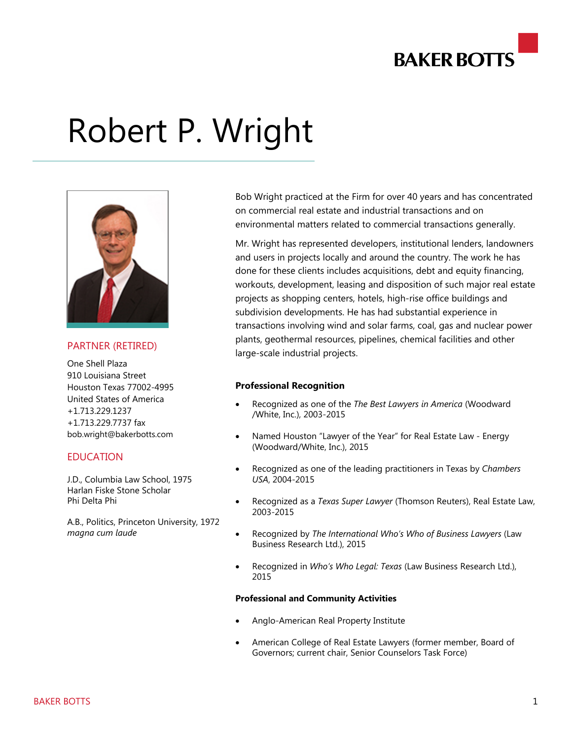

# Robert P. Wright



### PARTNER (RETIRED)

One Shell Plaza 910 Louisiana Street Houston Texas 77002-4995 United States of America +1.713.229.1237 +1.713.229.7737 fax bob.wright@bakerbotts.com

## **FDUCATION**

J.D., Columbia Law School, 1975 Harlan Fiske Stone Scholar Phi Delta Phi

A.B., Politics, Princeton University, 1972 *magna cum laude*

Bob Wright practiced at the Firm for over 40 years and has concentrated on commercial real estate and industrial transactions and on environmental matters related to commercial transactions generally.

Mr. Wright has represented developers, institutional lenders, landowners and users in projects locally and around the country. The work he has done for these clients includes acquisitions, debt and equity financing, workouts, development, leasing and disposition of such major real estate projects as shopping centers, hotels, high-rise office buildings and subdivision developments. He has had substantial experience in transactions involving wind and solar farms, coal, gas and nuclear power plants, geothermal resources, pipelines, chemical facilities and other large-scale industrial projects.

#### **Professional Recognition**

- Recognized as one of the *The Best Lawyers in America* (Woodward /White, Inc.), 2003-2015
- Named Houston "Lawyer of the Year" for Real Estate Law Energy (Woodward/White, Inc.), 2015
- Recognized as one of the leading practitioners in Texas by *Chambers USA*, 2004-2015
- Recognized as a *Texas Super Lawyer* (Thomson Reuters), Real Estate Law, 2003-2015
- Recognized by *The International Who's Who of Business Lawyers* (Law Business Research Ltd.), 2015
- Recognized in *Who's Who Legal: Texas* (Law Business Research Ltd.), 2015

#### **Professional and Community Activities**

- Anglo-American Real Property Institute
- American College of Real Estate Lawyers (former member, Board of Governors; current chair, Senior Counselors Task Force)